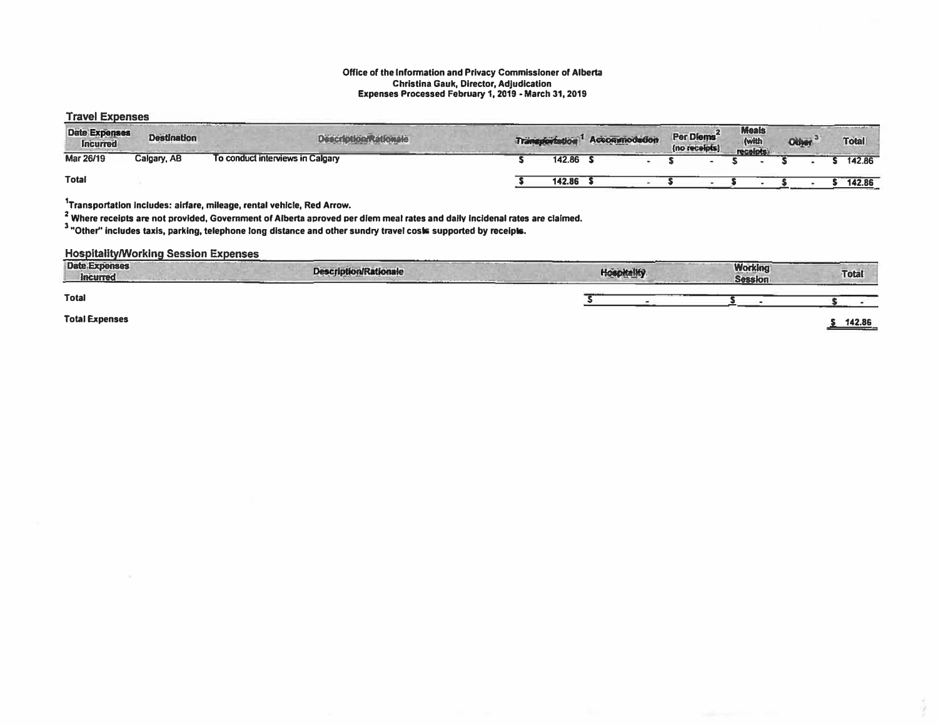### Office of the Information and Privacy Commissioner of Alberta Christina Gauk, Director, Adjudication<br>Expenses Processed February 1, 2019 - March 31, 2019

#### **Travel Expenses**

| Date Expenses<br><b>Incurred</b> | <b>Destination</b> | <b>Description Rationale</b>     |        | Transportation <sup>1</sup> Accommodation | Per Diems <sup>2</sup><br>(no receipts) | <b>Meals</b><br>(with<br>recolots) | Other <sup>3</sup> | Total  |
|----------------------------------|--------------------|----------------------------------|--------|-------------------------------------------|-----------------------------------------|------------------------------------|--------------------|--------|
| Mar 26/19                        | Calgary, AB        | To conduct interviews in Calgary | 142.86 |                                           |                                         |                                    |                    | 142.86 |
| <b>Total</b>                     |                    |                                  | 142.86 |                                           |                                         |                                    |                    | 142.86 |

<sup>1</sup>Transportation includes: airfare, mileage, rental vehicle, Red Arrow.

2<br>Where receipts are not provided, Government of Alberta aproved per diem meal rates and daily incidenal rates are claimed.<br>3 "Other" includes taxis, parking, telephone long distance and other sundry travel costs supported

#### **Hospitality/Working Session Expenses**

| <b>Date Expenses</b><br>Incurred | ------<br><b>Description/Rationale</b> | <b>Hoenitalifo</b> | <b>Working</b><br><b>Session</b> | Total  |
|----------------------------------|----------------------------------------|--------------------|----------------------------------|--------|
| <b>Total</b>                     |                                        |                    |                                  |        |
| <b>Total Expenses</b>            |                                        |                    |                                  | 440.00 |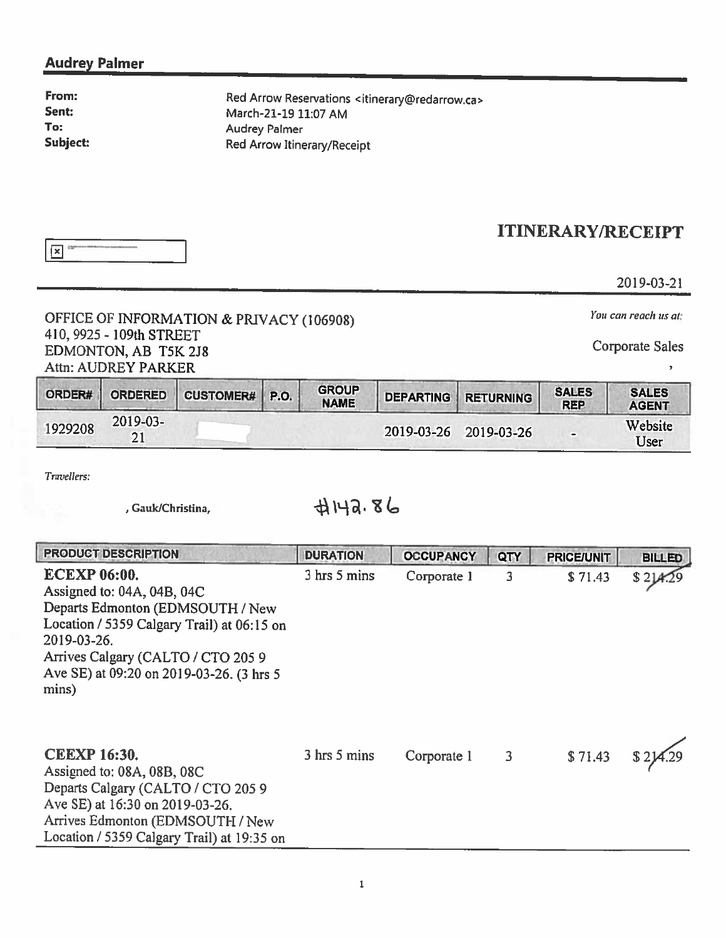### Audrey Palmer

| From:    |
|----------|
| Sent:    |
| To:      |
| Subject: |

Red Arrow Reservations <itinerary@redarrow.ca> March-21-19 11:07 AM Audrey Palmer Red Arrow Itinerary/Receipt

## ITINERARY/RECEIPT

2019-03 -2 1

# OFFICE OF INFORMATION & PRIVACY (106908) *You can reach us at:* INFORMATION & PRIVACY (106908) 410, <sup>9925</sup> - 109th STREET Corporate Sales EDMONTON, AB T5K 2J8 Attn: AUDREY PARKER

| ORDER#  | <b>ORDERED</b> | <b>CUSTOMER# P.O.</b> | <b>GROUP</b><br><b>NAME</b> | <b>DEPARTING</b> | <b>RETURNING</b> | <b>SALES</b><br><b>REP</b> | <b>SALES</b><br><b>AGENT</b> |
|---------|----------------|-----------------------|-----------------------------|------------------|------------------|----------------------------|------------------------------|
| 1929208 | 2019-03-<br>21 |                       |                             | 2019-03-26       | 2019-03-26       |                            | Website<br>User              |

Travellers:

, Gauk/Christina,  $\mathcal{A} \mathcal{H} \mathcal{A} \cdot \mathcal{B}$ 

| <b>PRODUCT DESCRIPTION</b>                                                                                                                                                                                                                    | <b>DURATION</b> | <b>OCCUPANCY</b> | QTY            | <b>PRICE/UNIT</b> | <b>BILLED</b> |
|-----------------------------------------------------------------------------------------------------------------------------------------------------------------------------------------------------------------------------------------------|-----------------|------------------|----------------|-------------------|---------------|
| <b>ECEXP 06:00.</b><br>Assigned to: 04A, 04B, 04C<br>Departs Edmonton (EDMSOUTH / New<br>Location / 5359 Calgary Trail) at 06:15 on<br>2019-03-26.<br>Arrives Calgary (CALTO / CTO 205 9<br>Ave SE) at 09:20 on 2019-03-26. (3 hrs 5<br>mins) | 3 hrs 5 mins    | Corporate 1      | $\overline{3}$ | \$71.43           |               |
| <b>CEEXP 16:30.</b><br>Assigned to: 08A, 08B, 08C<br>Departs Calgary (CALTO / CTO 2059<br>Ave SE) at 16:30 on 2019-03-26.<br>Arrives Edmonton (EDMSOUTH / New<br>Location / 5359 Calgary Trail) at 19:35 on                                   | 3 hrs 5 mins    | Corporate 1      | $\mathbf{3}$   | \$71.43           |               |